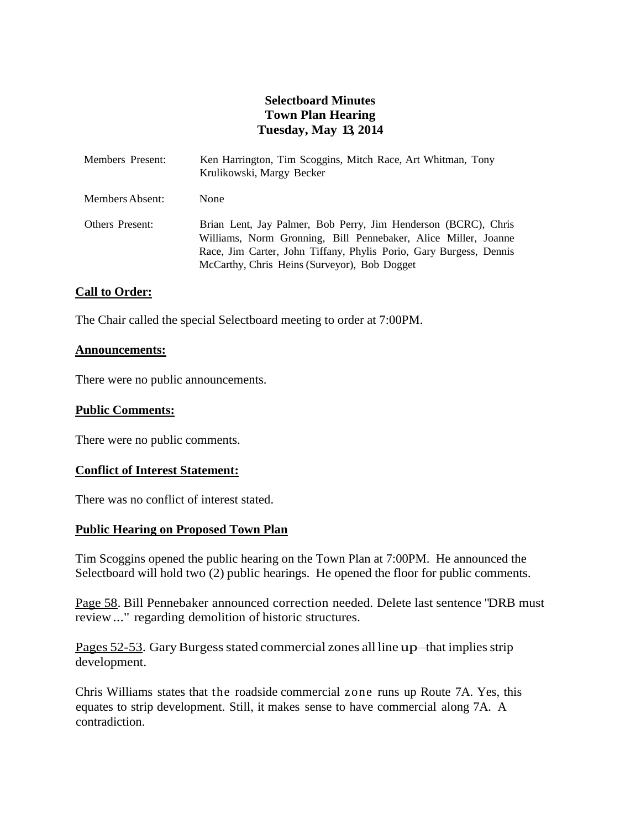# **Selectboard Minutes Town Plan Hearing Tuesday, May 13, 2014**

| Members Present:       | Ken Harrington, Tim Scoggins, Mitch Race, Art Whitman, Tony<br>Krulikowski, Margy Becker                                                                                                                                                               |
|------------------------|--------------------------------------------------------------------------------------------------------------------------------------------------------------------------------------------------------------------------------------------------------|
| Members Absent:        | None                                                                                                                                                                                                                                                   |
| <b>Others Present:</b> | Brian Lent, Jay Palmer, Bob Perry, Jim Henderson (BCRC), Chris<br>Williams, Norm Gronning, Bill Pennebaker, Alice Miller, Joanne<br>Race, Jim Carter, John Tiffany, Phylis Porio, Gary Burgess, Dennis<br>McCarthy, Chris Heins (Surveyor), Bob Dogget |

## **Call to Order:**

The Chair called the special Selectboard meeting to order at 7:00PM.

#### **Announcements:**

There were no public announcements.

### **Public Comments:**

There were no public comments.

### **Conflict of Interest Statement:**

There was no conflict of interest stated.

### **Public Hearing on Proposed Town Plan**

Tim Scoggins opened the public hearing on the Town Plan at 7:00PM. He announced the Selectboard will hold two (2) public hearings. He opened the floor for public comments.

Page 58. Bill Pennebaker announced correction needed. Delete last sentence "DRB must review..." regarding demolition of historic structures.

Pages 52-53. Gary Burgess stated commercial zones all line up–that implies strip development.

Chris Williams states that the roadside commercial zone runs up Route 7A. Yes, this equates to strip development. Still, it makes sense to have commercial along 7A. A contradiction.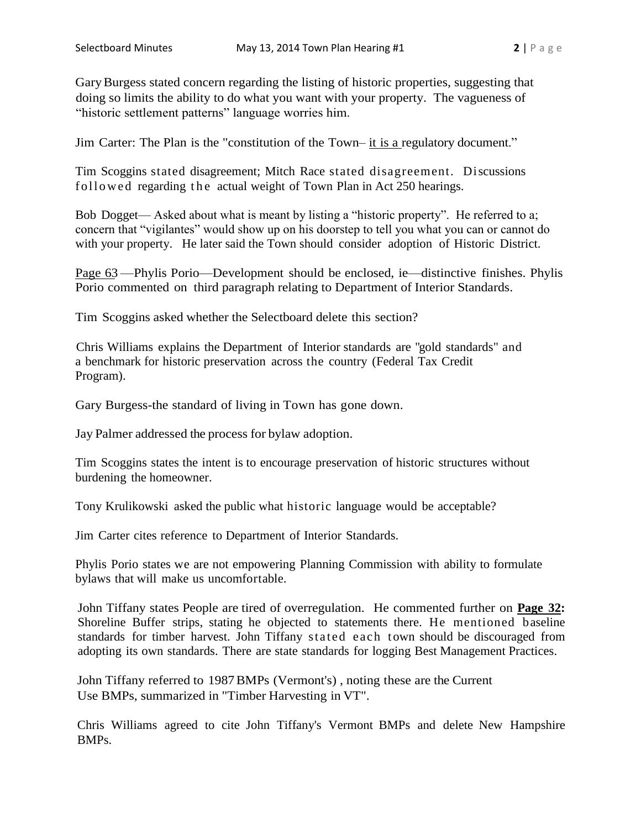GaryBurgess stated concern regarding the listing of historic properties, suggesting that doing so limits the ability to do what you want with your property. The vagueness of "historic settlement patterns" language worries him.

Jim Carter: The Plan is the "constitution of the Town– it is a regulatory document."

Tim Scoggins stated disagreement; Mitch Race stated disagreement. Discussions followed regarding the actual weight of Town Plan in Act 250 hearings.

Bob Dogget— Asked about what is meant by listing a "historic property". He referred to a; concern that "vigilantes" would show up on his doorstep to tell you what you can or cannot do with your property. He later said the Town should consider adoption of Historic District.

Page 63 —Phylis Porio—Development should be enclosed, ie—distinctive finishes. Phylis Porio commented on third paragraph relating to Department of Interior Standards.

Tim Scoggins asked whether the Selectboard delete this section?

Chris Williams explains the Department of Interior standards are "gold standards" and a benchmark for historic preservation across the country (Federal Tax Credit Program).

Gary Burgess-the standard of living in Town has gone down.

Jay Palmer addressed the process for bylaw adoption.

Tim Scoggins states the intent is to encourage preservation of historic structures without burdening the homeowner.

Tony Krulikowski asked the public what historic language would be acceptable?

Jim Carter cites reference to Department of Interior Standards.

Phylis Porio states we are not empowering Planning Commission with ability to formulate bylaws that will make us uncomfortable.

John Tiffany states People are tired of overregulation. He commented further on **Page 32:** Shoreline Buffer strips, stating he objected to statements there. He mentioned baseline standards for timber harvest. John Tiffany stated each town should be discouraged from adopting its own standards. There are state standards for logging Best Management Practices.

John Tiffany referred to 1987BMPs (Vermont's) , noting these are the Current Use BMPs, summarized in "Timber Harvesting in VT".

Chris Williams agreed to cite John Tiffany's Vermont BMPs and delete New Hampshire BMPs.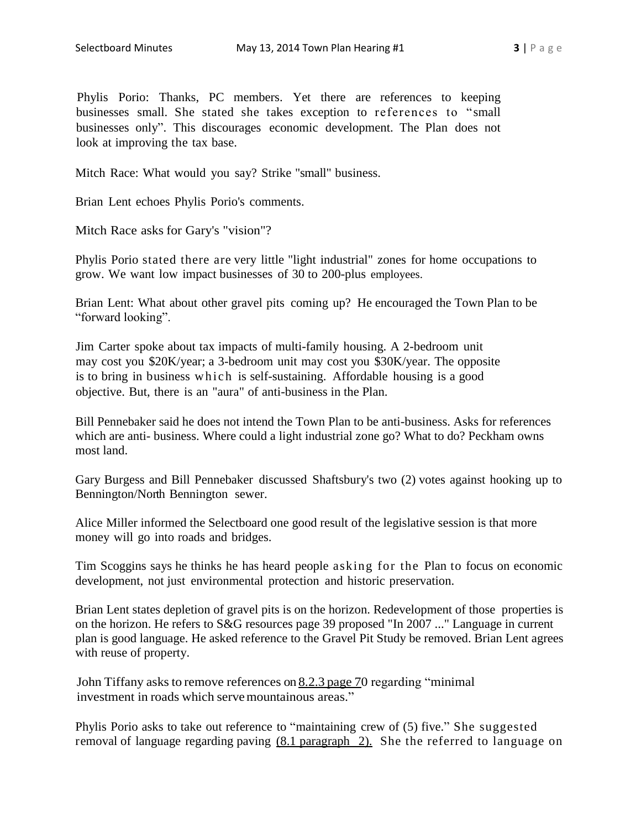Phylis Porio: Thanks, PC members. Yet there are references to keeping businesses small. She stated she takes exception to references to "small businesses only". This discourages economic development. The Plan does not look at improving the tax base.

Mitch Race: What would you say? Strike "small" business.

Brian Lent echoes Phylis Porio's comments.

Mitch Race asks for Gary's "vision"?

Phylis Porio stated there are very little "light industrial" zones for home occupations to grow. We want low impact businesses of 30 to 200-plus employees.

Brian Lent: What about other gravel pits coming up? He encouraged the Town Plan to be "forward looking".

Jim Carter spoke about tax impacts of multi-family housing. A 2-bedroom unit may cost you \$20K/year; a 3-bedroom unit may cost you \$30K/year. The opposite is to bring in business which is self-sustaining. Affordable housing is a good objective. But, there is an "aura" of anti-business in the Plan.

Bill Pennebaker said he does not intend the Town Plan to be anti-business. Asks for references which are anti- business. Where could a light industrial zone go? What to do? Peckham owns most land.

Gary Burgess and Bill Pennebaker discussed Shaftsbury's two (2) votes against hooking up to Bennington/North Bennington sewer.

Alice Miller informed the Selectboard one good result of the legislative session is that more money will go into roads and bridges.

Tim Scoggins says he thinks he has heard people asking for the Plan to focus on economic development, not just environmental protection and historic preservation.

Brian Lent states depletion of gravel pits is on the horizon. Redevelopment of those properties is on the horizon. He refers to S&G resources page 39 proposed "In 2007 ..." Language in current plan is good language. He asked reference to the Gravel Pit Study be removed. Brian Lent agrees with reuse of property.

John Tiffany asks to remove references on 8.2.3 page 70 regarding "minimal investment in roads which servemountainous areas."

Phylis Porio asks to take out reference to "maintaining crew of (5) five." She suggested removal of language regarding paving  $(8.1 \text{ paragraph } 2)$ . She the referred to language on